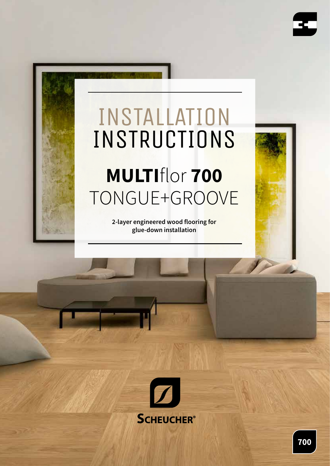

# INSTALLATION INSTRUCTIONS **MULTI**flor **700** TONGUE+GROOVE

**2-layer engineered wood flooring for glue-down installation**

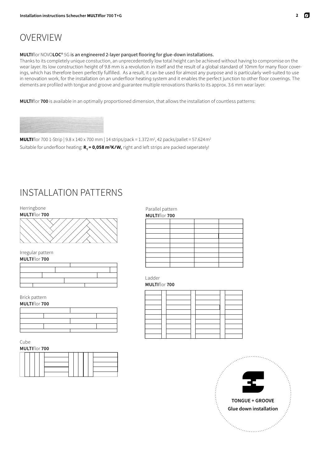### OVERVIEW

#### **MULTI**flor NOVO**LOC**® 5G is an engineered 2-layer parquet flooring for glue-down installations.

Thanks to its completely unique constuction, an unprecedentedly low total height can be achieved without having to compromise on the wear layer. Its low construction height of 9.8 mm is a revolution in itself and the result of a global standard of 10mm for many floor coverings, which has therefore been perfectly fulfilled. As a result, it can be used for almost any purpose and is particularly well-suited to use in renovation work, for the installation on an underfloor heating system and it enables the perfect junction to other floor coverings. The elements are profiled with tongue and groove and guarantee multiple renovations thanks to its approx. 3.6 mm wear layer.

**MULTI**flor **700** is available in an optimally proportioned dimension, that allows the installation of countless patterns:



**MULTI**flor 700 1-Strip | 9.8 x 140 x 700 mm | 14 strips/pack = 1.372 m<sup>2</sup>, 42 packs/pallet = 57.624 m<sup>2</sup> Suitable for underfloor heating:  $R_r = 0.058$  m<sup>2</sup>K/W, right and left strips are packed seperately!

### INSTALLATION PATTERNS

Herringbone



Irregular pattern



#### Brick pattern



Cube



Parallel pattern

| <b>MULTIflor 700</b> |  |  |  |  |
|----------------------|--|--|--|--|
|                      |  |  |  |  |
|                      |  |  |  |  |
|                      |  |  |  |  |
|                      |  |  |  |  |
|                      |  |  |  |  |
|                      |  |  |  |  |
|                      |  |  |  |  |
|                      |  |  |  |  |
|                      |  |  |  |  |
|                      |  |  |  |  |

Ladder

**MULTI**flor **700**

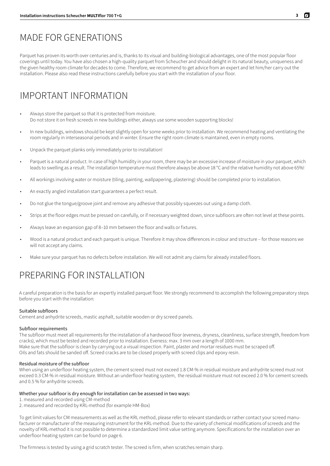### MADE FOR GENERATIONS

Parquet has proven its worth over centuries and is, thanks to its visual and building-biological advantages, one of the most popular floor coverings until today. You have also chosen a high-quality parquet from Scheucher and should delight in its natural beauty, uniqueness and the given healthy room climate for decades to come. Therefore, we recommend to get advice from an expert and let him/her carry out the installation. Please also read these instructions carefully before you start with the installation of your floor.

# IMPORTANT INFORMATION

- Always store the parquet so that it is protected from moisture. Do not store it on fresh screeds in new buildings either, always use some wooden supporting blocks!
- In new buildings, windows should be kept slightly open for some weeks prior to installation. We recommend heating and ventilating the room regularly in interseasonal periods and in winter. Ensure the right room climate is maintained, even in empty rooms.
- Unpack the parquet planks only immediately prior to installation!
- Parquet is a natural product. In case of high humidity in your room, there may be an excessive increase of moisture in your parquet, which leads to swelling as a result. The installation temperature must therefore always be above 18 °C and the relative humidity not above 65%!
- All workings involving water or moisture (tiling, painting, wallpapering, plastering) should be completed prior to installation.
- An exactly angled installation start guarantees a perfect result.
- Do not glue the tongue/groove joint and remove any adhesive that possibly squeezes out using a damp cloth.
- Strips at the floor edges must be pressed on carefully, or if necessary weighted down, since subfloors are often not level at these points.
- Always leave an expansion gap of 8–10 mm between the floor and walls or fixtures.
- Wood is a natural product and each parquet is unique. Therefore it may show differences in colour and structure for those reasons we will not accept any claims.
- Make sure your parquet has no defects before installation. We will not admit any claims for already installed floors.

# PREPARING FOR INSTALLATION

A careful preparation is the basis for an expertly installed parquet floor. We strongly recommend to accomplish the following preparatory steps before you start with the installation:

#### Suitable subfloors

Cement and anhydrite screeds, mastic asphalt, suitable wooden or dry screed panels.

#### Subfloor requirements

The subfloor must meet all requirements for the installation of a hardwood floor (eveness, dryness, cleanliness, surface strength, freedom from cracks), which must be tested and recorded prior to installation. Eveness: max. 3 mm over a length of 1000 mm. Make sure that the subfloor is clean by carrying out a visual inspection. Paint, plaster and mortar residues must be scraped off. Oils and fats should be sanded off. Screed cracks are to be closed properly with screed clips and epoxy resin.

#### Residual moisture of the subfloor

When using an underfloor heating system, the cement screed must not exceed 1.8 CM-% in residual moisture and anhydrite screed must not exceed 0.3 CM-% in residual moisture. Without an underfloor heating system, the residual moisture must not exceed 2.0 % for cement screeds and 0.5 % for anhydrite screeds.

#### Whether your subfloor is dry enough for installation can be assessed in two ways:

- 1. measured and recorded using CM-method
- 2. measured and recorded by KRL-method (for example HM-Box)

To get limit values for CM measurements as well as the KRL method, please refer to relevant standards or rather contact your screed manufacturer or manufacturer of the measuring instrument for the KRL-method. Due to the variety of chemical modifications of screeds and the novelty of KRL-method it is not possible to determine a standardized limit value setting anymore. Specifications for the installation over an underfloor heating system can be found on page 6.

The firmness is tested by using a grid scratch tester. The screed is firm, when scratches remain sharp.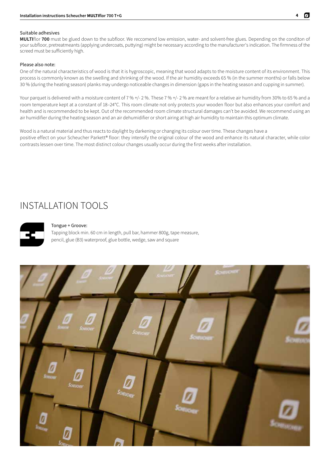#### Suitable adhesives

**MULTI**flor **700** must be glued down to the subfloor. We reccomend low emission, water- and solvent-free glues. Depending on the conditon of your subfloor, pretreatmeants (applying undercoats, puttying) might be necessary according to the manufacturer's indication. The firmness of the screed must be sufficiently high.

#### Please also note:

One of the natural characteristics of wood is that it is hygroscopic, meaning that wood adapts to the moisture content of its environment. This process is commonly known as the swelling and shrinking of the wood. If the air humidity exceeds 65 % (in the summer months) or falls below 30 % (during the heating season) planks may undergo noticeable changes in dimension (gaps in the heating season and cupping in summer).

Your parquet is delivered with a moisture content of 7 % +/- 2 %. These 7 % +/- 2 % are meant for a relative air humidity from 30% to 65 % and a room temperature kept at a constant of 18–24°C. This room climate not only protects your wooden floor but also enhances your comfort and health and is recommended to be kept. Out of the recommended room climate structural damages can't be avoided. We recommend using an air humidifier during the heating season and an air dehumidifier or short airing at high air humidity to maintain this optimum climate.

Wood is a natural material and thus reacts to daylight by darkening or changing its colour over time. These changes have a positive effect on your Scheucher Parkett® floor: they intensify the original colour of the wood and enhance its natural character, while color contrasts lessen over time. The most distinct colour changes usually occur during the first weeks after installation.

### INSTALLATION TOOLS



#### Tongue + Groove:

Tapping block min. 60 cm in length, pull bar, hammer 800g, tape measure, pencil, glue (B3) waterproof, glue bottle, wedge, saw and square

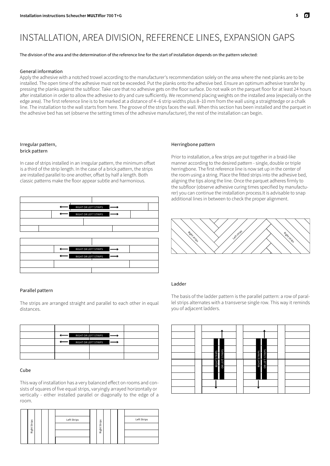## INSTALLATION, AREA DIVISION, REFERENCE LINES, EXPANSION GAPS

The division of the area and the determination of the reference line for the start of installation depends on the pattern selected:

#### General information

Apply the adhesive with a notched trowel according to the manufacturer's recommendation solely on the area where the next planks are to be installed. The open time of the adhesive must not be exceeded. Put the planks onto the adhesive bed. Ensure an optimum adhesive transfer by pressing the planks against the subfloor. Take care that no adhesive gets on the floor surface. Do not walk on the parquet floor for at least 24 hours after installation in order to allow the adhesive to dry and cure sufficiently. We recommend placing weights on the installed area (especially on the edge area). The first reference line is to be marked at a distance of 4–6 strip widths plus 8–10 mm from the wall using a straightedge or a chalk line. The installation to the wall starts from here. The groove of the strips faces the wall. When this section has been installed and the parquet in the adhesive bed has set (observe the setting times of the adhesive manufacturer), the rest of the installation can begin.

#### Irregular pattern, brick pattern

In case of strips installed in an irregular pattern, the minimum offset is a third of the strip length. In the case of a brick pattern, the strips are installed parallel to one another, offset by half a length. Both classic patterns make the floor appear subtle and harmonious.



#### Parallel pattern

The strips are arranged straight and parallel to each other in equal distances.

|  | RIGHT OR LEFT STRIPS |  |
|--|----------------------|--|
|  | RIGHT OR LEFT STRIPS |  |
|  |                      |  |
|  |                      |  |

#### Cube

This way of installation has a very balanced effect on rooms and consists of squares of five equal strips, varyingly arrayed horizontally or vertically - either installed parallel or diagonally to the edge of a room.



#### Herringbone pattern

Prior to installation, a few strips are put together in a braid-like manner according to the desired pattern - single, double or triple herringbone. The first reference line is now set up in the center of the room using a string. Place the fitted strips into the adhesive bed, aligning the tips along the line. Once the parquet adheres firmly to the subfloor (observe adhesive curing times specified by manufacturer) you can continue the installation process.It is advisable to snap additional lines in between to check the proper alignment.



#### Ladder

The basis of the ladder pattern is the parallel pattern: a row of parallel strips alternates with a transverse single row. This way it reminds you of adjacent ladders.

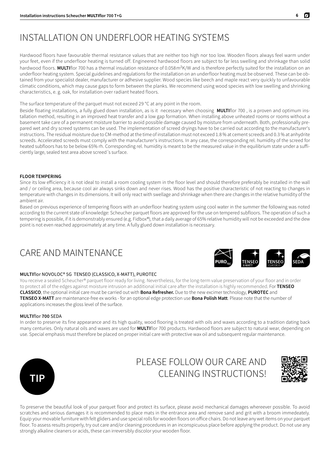## INSTALLATION ON UNDERFLOOR HEATING SYSTEMS

Hardwood floors have favourable thermal resistance values that are neither too high nor too low. Wooden floors always feel warm under your feet, even if the underfloor heating is turned off. Engineered hardwood floors are subject to far less swelling and shrinkage than solid hardwood floors. **MULTI**flor 700 has a thermal insulation resistance of 0.058 $m^2K/W$  and is therefore perfectly suited for the installation on an underfloor heating system. Special guidelines and regulations for the installation on an underfloor heating must be observed. These can be obtained from your specialist dealer, manufacturer or adhesive supplier. Wood species like beech and maple react very quickly to unfavourable climatic conditions, which may cause gaps to form between the planks. We recommend using wood species with low swelling and shrinking characteristics, e. g. oak, for installation over radiant heated floors.

The surface temperature of the parquet must not exceed 29 °C at any point in the room.

Beside floating installations, a fully glued down installation, as is it necessary when choosing **MULTI**flor 700 , is a proven and optimum installation method, resulting in an improved heat transfer and a low gap formation. When installing above unheated rooms or rooms without a basement take care of a permanent moisture barrier to avoid possible damage caused by moisture from underneath. Both, professionally prepared wet and dry screed systems can be used. The implementation of screed dryings have to be carried out according to the manufacturer's instructions. The residual moisture due to CM-method at the time of installation must not exceed 1.8 % at cement screeds and 0.3 % at anhydrite screeds. Accelerated screeds must comply with the manufacturer's instructions. In any case, the corresponding rel. humidity of the screed for heated subfloors has to be below 65% rh. Corresponding rel. humidity is meant to be the measured value in the equilibrium state under a sufficiently large, sealed test area above screed´s surface.

#### **FLOOR TEMPERING**

Since its low efficiency it is not ideal to install a room cooling system in the floor level and should therefore preferably be installed in the wall and / or ceiling area, because cool air always sinks down and never rises. Wood has the positive characteristic of not reacting to changes in temperature with changes in its dimensions. It will only react with swellage and shrinkage when there are changes in the relative humidity of the ambient air.

Based on previous experience of tempering floors with an underfloor heating system using cool water in the summer the following was noted according to the current state of knowledge: Scheucher parquet floors are approved for the use on tempered subfloors. The operation of such a tempering is possible, if it is demonstrably ensured (e.g. Fidbox®), that a daily average of 65% relative humidity will not be exceeded and the dew point is not even reached approximately at any time. A fully glued down installation is necessary.

### CARE AND MAINTENANCE

#### **MULTI**flor NOVOLOC® 5G TENSEO (CLASSICO, X-MATT), PUROTEC

You receive a sealed Scheucher® parquet floor ready for living. Nevertheless, for the long-term value preservation of your floor and in order to protect all of the edges against moisture intrusion an additional initial care after the installation is highly recommended. For **TENSEO CLASSICO**, the optional initial care must be carried out with **Bona Refresher.** Due to the new excimer technology, **PUROTEC** and **TENSEO X-MATT** are maintenance-free ex works - for an optional edge protection use **Bona Polish Matt**. Please note that the number of applications increases the gloss level of the surface.

#### **MULTI**flor **700** SEDA

In order to preserve its fine appearance and its high quality, wood flooring is treated with oils and waxes according to a tradition dating back many centuries. Only natural oils and waxes are used for **MULTI**flor 700 products. Hardwood floors are subject to natural wear, depending on use. Special emphasis must therefore be placed on proper initial care with protective wax oil and subsequent regular maintenance.



### PLEASE FOLLOW OUR CARE AND CLEANING INSTRUCTIONS!



To preserve the beautiful look of your parquet floor and protect its surface, please avoid mechanical damages whereever possible. To avoid scratches and serious damages it is recommended to place mats in the entrance area and remove sand and grit with a broom immedeately. Equip your movable furniture with felt gliders and use special rolls for wooden floors on office chairs. Do not leave any wet items on your parquet floor. To assess results properly, try out care and/or cleaning procedures in an inconspicuous place before applying the product. Do not use any strongly alkaline cleaners or acids, these can irreversibly discolor your wooden floor.



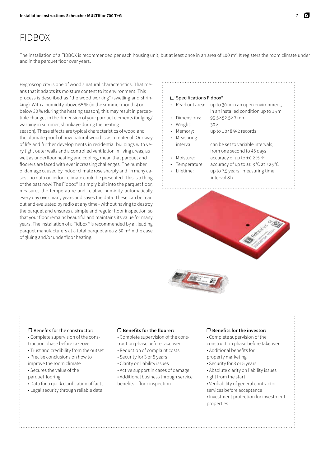## FIDBOX

The installation of a FIDBOX is recommended per each housing unit, but at least once in an area of 100  $m<sup>2</sup>$ . It registers the room climate under and in the parquet floor over years.

Hygroscopicity is one of wood's natural characteristics. That means that it adapts its moisture content to its environment. This process is described as "the wood working" (swelling and shrinking). With a humidity above 65 % (in the summer months) or below 30 % (during the heating season), this may result in perceptible changes in the dimension of your parquet elements (bulging/ warping in summer, shrinkage during the heating season). These effects are typical characteristics of wood and the ultimate proof of how natural wood is as a material. Our way of life and further developments in residential buildings with very tight outer walls and a controlled ventilation in living areas, as well as underfloor heating and cooling, mean that parquet and floorers are faced with ever increasing challenges. The number of damage caused by indoor climate rose sharply and, in many cases, no data on indoor climate could be presented. This is a thing of the past now! The Fidbox® is simply built into the parquet floor, measures the temperature and relative humidity automatically every day over many years and saves the data. These can be read out and evaluated by radio at any time - without having to destroy the parquet and ensures a simple and regular floor inspection so that your floor remains beautiful and maintains its value for many years. The installation of a Fidbox® is recommended by all leading parquet manufacturers at a total parquet area ≥ 50 m<sup>2</sup> in the case of gluing and/or underfloor heating.

#### $\Box$  Specifications Fidbox®

• Read out area: up to 30 m in an open environment, in an installed condition up to 15 m

- Dimensions: 95.5×52.5×7  mm
- Weight: 30 g
- Memory: up to 1048592 records
- Measuring
	- interval: can be set to variable intervals, from one second to 45 days
- Moisture: accuracy of up to ±0.2% rF
- 
- Temperature: accuracy of up to  $\pm$ 0.3 $\degree$ C at +25 $\degree$ C Lifetime: up to 7.5 years, measuring time interval 8 h



#### $\square$  Benefits for the constructor:

• Complete supervision of the construction phase before takeover

- Trust and credibility from the outset
- Precise conclusions on how to
- improve the room climate
- Secures the value of the
- parquetflooring
- Data for a quick clarification of facts
- Legal security through reliable data

#### **Benefits for the floorer:**

• Complete supervision of the construction phase before takeover

- Reduction of complaint costs
- Security for 3 or 5 years
- Clarity on liability issues
- Active support in cases of damage

• Additional business through service

#### benefits – floor inspection

#### **Benefits for the investor:**

• Complete supervision of the construction phase before takeover • Additional benefits for

- property marketing
- Security for 3 or 5 years
- 
- Absolute clarity on liability issues right from the start
- Verifiability of general contractor
- services before acceptance
- Investment protection for investment properties